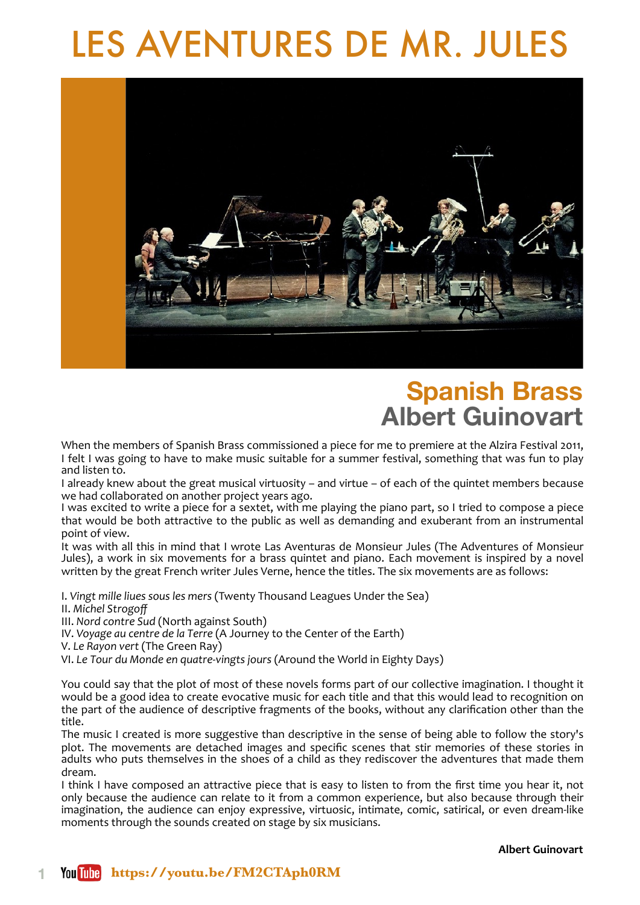# LES AVENTURES DE MR. JULES



## **Spanish Brass Albert Guinovart**

When the members of Spanish Brass commissioned a piece for me to premiere at the Alzira Festival 2011, I felt I was going to have to make music suitable for a summer festival, something that was fun to play and listen to.

I already knew about the great musical virtuosity – and virtue – of each of the quintet members because we had collaborated on another project years ago.

I was excited to write a piece for a sextet, with me playing the piano part, so I tried to compose a piece that would be both attractive to the public as well as demanding and exuberant from an instrumental point of view.

It was with all this in mind that I wrote Las Aventuras de Monsieur Jules (The Adventures of Monsieur Jules), a work in six movements for a brass quintet and piano. Each movement is inspired by a novel written by the great French writer Jules Verne, hence the titles. The six movements are as follows:

I. Vingt mille liues sous les mers (Twenty Thousand Leagues Under the Sea)

II. *Michel Strogoff*

III. Nord contre Sud (North against South)

IV. Voyage au centre de la Terre (A Journey to the Center of the Earth)

V. Le Rayon vert (The Green Ray)

VI. Le Tour du Monde en quatre-vingts jours (Around the World in Eighty Days)

You could say that the plot of most of these novels forms part of our collective imagination. I thought it would be a good idea to create evocative music for each title and that this would lead to recognition on the part of the audience of descriptive fragments of the books, without any clarification other than the title. 

The music I created is more suggestive than descriptive in the sense of being able to follow the story's plot. The movements are detached images and specific scenes that stir memories of these stories in adults who puts themselves in the shoes of a child as they rediscover the adventures that made them dream. 

I think I have composed an attractive piece that is easy to listen to from the first time you hear it, not only because the audience can relate to it from a common experience, but also because through their imagination, the audience can enjoy expressive, virtuosic, intimate, comic, satirical, or even dream-like moments through the sounds created on stage by six musicians.